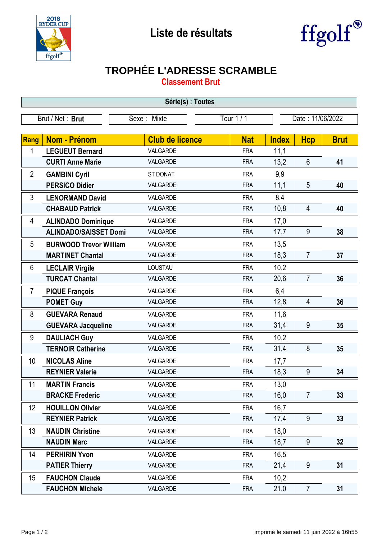



## **TROPHÉE L'ADRESSE SCRAMBLE**

**Classement Brut**

| Série(s) : Toutes |                               |                        |            |                  |                |             |  |  |  |  |
|-------------------|-------------------------------|------------------------|------------|------------------|----------------|-------------|--|--|--|--|
| Brut / Net: Brut  |                               | Sexe: Mixte            | Tour 1 / 1 | Date: 11/06/2022 |                |             |  |  |  |  |
|                   |                               |                        |            |                  |                |             |  |  |  |  |
| Rang              | <b>Nom - Prénom</b>           | <b>Club de licence</b> | <b>Nat</b> | <b>Index</b>     | <b>Hcp</b>     | <b>Brut</b> |  |  |  |  |
| 1                 | <b>LEGUEUT Bernard</b>        | VALGARDE               | <b>FRA</b> | 11,1             |                |             |  |  |  |  |
|                   | <b>CURTI Anne Marie</b>       | VALGARDE               | <b>FRA</b> | 13,2             | $6\phantom{1}$ | 41          |  |  |  |  |
| $\overline{2}$    | <b>GAMBINI Cyril</b>          | <b>ST DONAT</b>        | <b>FRA</b> | 9,9              |                |             |  |  |  |  |
|                   | <b>PERSICO Didier</b>         | VALGARDE               | <b>FRA</b> | 11,1             | 5              | 40          |  |  |  |  |
| 3                 | <b>LENORMAND David</b>        | VALGARDE               | <b>FRA</b> | 8,4              |                |             |  |  |  |  |
|                   | <b>CHABAUD Patrick</b>        | VALGARDE               | <b>FRA</b> | 10,8             | $\overline{4}$ | 40          |  |  |  |  |
| 4                 | <b>ALINDADO Dominique</b>     | VALGARDE               | <b>FRA</b> | 17,0             |                |             |  |  |  |  |
|                   | <b>ALINDADO/SAISSET Domi</b>  | VALGARDE               | <b>FRA</b> | 17,7             | 9              | 38          |  |  |  |  |
| 5                 | <b>BURWOOD Trevor William</b> | VALGARDE               | <b>FRA</b> | 13,5             |                |             |  |  |  |  |
|                   | <b>MARTINET Chantal</b>       | VALGARDE               | <b>FRA</b> | 18,3             | $\overline{7}$ | 37          |  |  |  |  |
| 6                 | <b>LECLAIR Virgile</b>        | LOUSTAU                | <b>FRA</b> | 10,2             |                |             |  |  |  |  |
|                   | <b>TURCAT Chantal</b>         | VALGARDE               | <b>FRA</b> | 20,6             | $\overline{7}$ | 36          |  |  |  |  |
| $\overline{7}$    | <b>PIQUE François</b>         | VALGARDE               | <b>FRA</b> | 6,4              |                |             |  |  |  |  |
|                   | <b>POMET Guy</b>              | VALGARDE               | <b>FRA</b> | 12,8             | 4              | 36          |  |  |  |  |
| 8                 | <b>GUEVARA Renaud</b>         | VALGARDE               | <b>FRA</b> | 11,6             |                |             |  |  |  |  |
|                   | <b>GUEVARA Jacqueline</b>     | VALGARDE               | <b>FRA</b> | 31,4             | 9              | 35          |  |  |  |  |
| 9                 | <b>DAULIACH Guy</b>           | VALGARDE               | <b>FRA</b> | 10,2             |                |             |  |  |  |  |
|                   | <b>TERNOIR Catherine</b>      | VALGARDE               | <b>FRA</b> | 31,4             | 8              | 35          |  |  |  |  |
| 10                | <b>NICOLAS Aline</b>          | VALGARDE               | <b>FRA</b> | 17,7             |                |             |  |  |  |  |
|                   | <b>REYNIER Valerie</b>        | VALGARDE               | <b>FRA</b> | 18,3             | 9              | 34          |  |  |  |  |
| 11                | <b>MARTIN Francis</b>         | VALGARDE               | <b>FRA</b> | 13,0             |                |             |  |  |  |  |
|                   | <b>BRACKE Frederic</b>        | VALGARDE               | <b>FRA</b> | 16,0             | $\overline{7}$ | 33          |  |  |  |  |
| 12                | <b>HOUILLON Olivier</b>       | VALGARDE               | <b>FRA</b> | 16,7             |                |             |  |  |  |  |
|                   | <b>REYNIER Patrick</b>        | VALGARDE               | <b>FRA</b> | 17,4             | 9              | 33          |  |  |  |  |
| 13                | <b>NAUDIN Christine</b>       | VALGARDE               | <b>FRA</b> | 18,0             |                |             |  |  |  |  |
|                   | <b>NAUDIN Marc</b>            | VALGARDE               | <b>FRA</b> | 18,7             | 9              | 32          |  |  |  |  |
| 14                | <b>PERHIRIN Yvon</b>          | VALGARDE               | <b>FRA</b> | 16,5             |                |             |  |  |  |  |
|                   | <b>PATIER Thierry</b>         | VALGARDE               | <b>FRA</b> | 21,4             | 9              | 31          |  |  |  |  |
| 15                | <b>FAUCHON Claude</b>         | VALGARDE               | <b>FRA</b> | 10,2             |                |             |  |  |  |  |
|                   | <b>FAUCHON Michele</b>        | VALGARDE               | <b>FRA</b> | 21,0             | $\overline{7}$ | 31          |  |  |  |  |